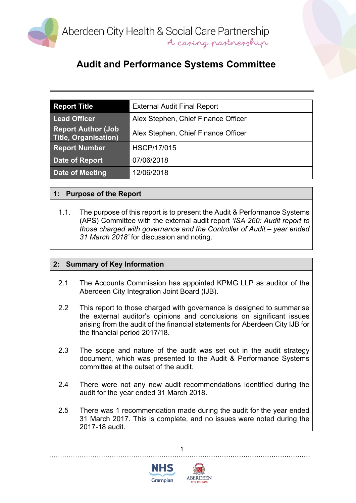

# **Audit and Performance Systems Committee**

| <b>Report Title</b>                                | <b>External Audit Final Report</b>  |
|----------------------------------------------------|-------------------------------------|
| <b>Lead Officer</b>                                | Alex Stephen, Chief Finance Officer |
| <b>Report Author (Job)</b><br>Title, Organisation) | Alex Stephen, Chief Finance Officer |
| <b>Report Number</b>                               | <b>HSCP/17/015</b>                  |
| <b>Date of Report</b>                              | 07/06/2018                          |
| <b>Date of Meeting</b>                             | 12/06/2018                          |

### **1: Purpose of the Report**

1.1. The purpose of this report is to present the Audit & Performance Systems (APS) Committee with the external audit report *'ISA 260: Audit report to those charged with governance and the Controller of Audit – year ended 31 March 2018'* for discussion and noting.

### **2: Summary of Key Information**

- 2.1 The Accounts Commission has appointed KPMG LLP as auditor of the Aberdeen City Integration Joint Board (IJB).
- 2.2 This report to those charged with governance is designed to summarise the external auditor's opinions and conclusions on significant issues arising from the audit of the financial statements for Aberdeen City IJB for the financial period 2017/18.
- 2.3 The scope and nature of the audit was set out in the audit strategy document, which was presented to the Audit & Performance Systems committee at the outset of the audit.
- 2.4 There were not any new audit recommendations identified during the audit for the year ended 31 March 2018.
- 2.5 There was 1 recommendation made during the audit for the year ended 31 March 2017. This is complete, and no issues were noted during the 2017-18 audit.

1